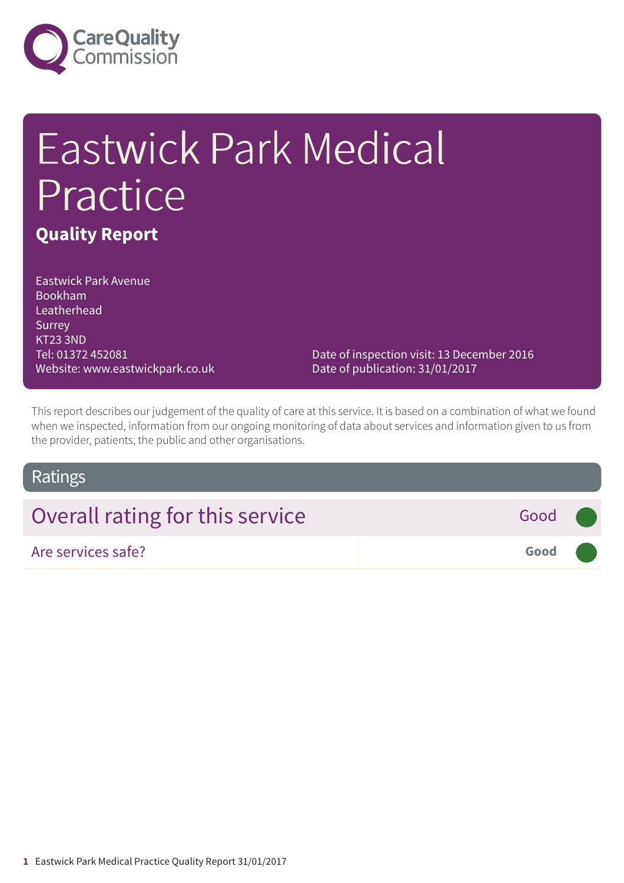

# Eastwick Park Medical Practice **Quality Report**

Eastwick Park Avenue Bookham Leatherhead Surrey KT23 3ND Tel: 01372 452081 Website: www.eastwickpark.co.uk

Date of inspection visit: 13 December 2016 Date of publication: 31/01/2017

This report describes our judgement of the quality of care at this service. It is based on a combination of what we found when we inspected, information from our ongoing monitoring of data about services and information given to us from the provider, patients, the public and other organisations.

#### Ratings

| Overall rating for this service | Good ( |  |
|---------------------------------|--------|--|
| Are services safe?              | Good   |  |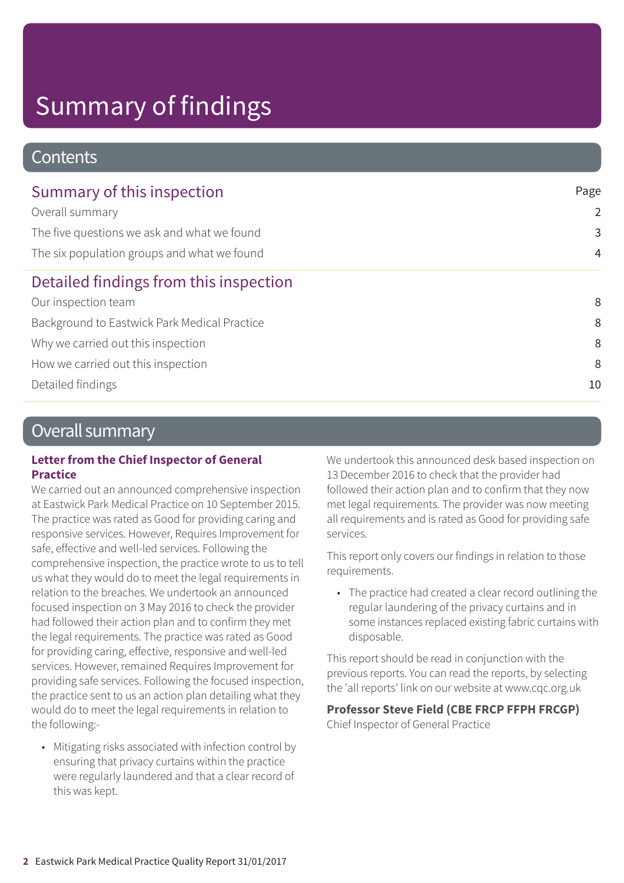#### **Contents**

| Summary of this inspection                   | Page           |
|----------------------------------------------|----------------|
| Overall summary                              | $\overline{2}$ |
| The five questions we ask and what we found  | 3              |
| The six population groups and what we found  | $\overline{4}$ |
| Detailed findings from this inspection       |                |
| Our inspection team                          | 8              |
| Background to Eastwick Park Medical Practice | 8              |
| Why we carried out this inspection           | 8              |
| How we carried out this inspection           | 8              |
| Detailed findings                            | 10             |

### Overall summary

#### **Letter from the Chief Inspector of General Practice**

We carried out an announced comprehensive inspection at Eastwick Park Medical Practice on 10 September 2015. The practice was rated as Good for providing caring and responsive services. However, Requires Improvement for safe, effective and well-led services. Following the comprehensive inspection, the practice wrote to us to tell us what they would do to meet the legal requirements in relation to the breaches. We undertook an announced focused inspection on 3 May 2016 to check the provider had followed their action plan and to confirm they met the legal requirements. The practice was rated as Good for providing caring, effective, responsive and well-led services. However, remained Requires Improvement for providing safe services. Following the focused inspection, the practice sent to us an action plan detailing what they would do to meet the legal requirements in relation to the following:-

• Mitigating risks associated with infection control by ensuring that privacy curtains within the practice were regularly laundered and that a clear record of this was kept.

We undertook this announced desk based inspection on 13 December 2016 to check that the provider had followed their action plan and to confirm that they now met legal requirements. The provider was now meeting all requirements and is rated as Good for providing safe services.

This report only covers our findings in relation to those requirements.

• The practice had created a clear record outlining the regular laundering of the privacy curtains and in some instances replaced existing fabric curtains with disposable.

This report should be read in conjunction with the previous reports. You can read the reports, by selecting the 'all reports' link on our website at www.cqc.org.uk

**Professor Steve Field (CBE FRCP FFPH FRCGP)** Chief Inspector of General Practice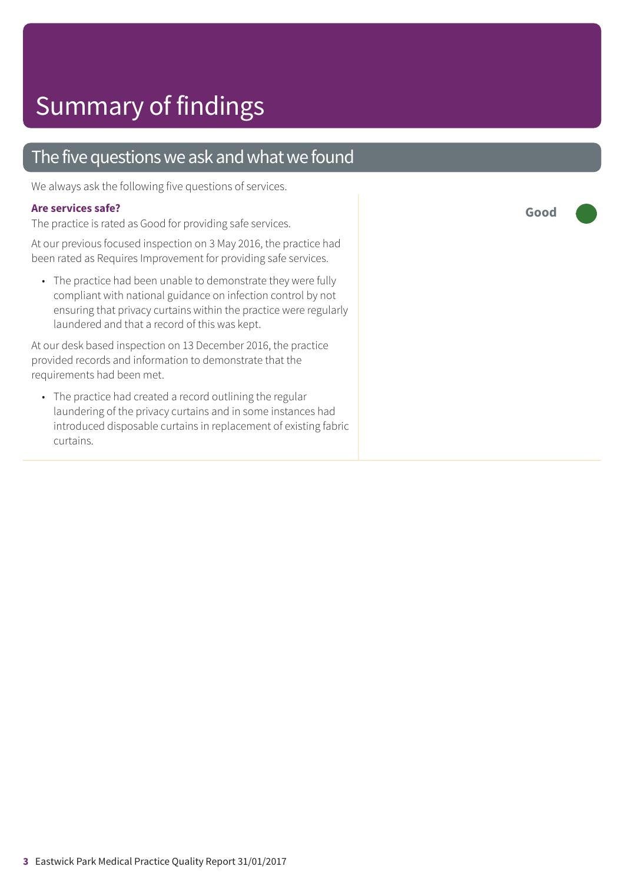### The five questions we ask and what we found

We always ask the following five questions of services.

#### **Are services safe?**

The practice is rated as Good for providing safe services.

At our previous focused inspection on 3 May 2016, the practice had been rated as Requires Improvement for providing safe services.

• The practice had been unable to demonstrate they were fully compliant with national guidance on infection control by not ensuring that privacy curtains within the practice were regularly laundered and that a record of this was kept.

At our desk based inspection on 13 December 2016, the practice provided records and information to demonstrate that the requirements had been met.

• The practice had created a record outlining the regular laundering of the privacy curtains and in some instances had introduced disposable curtains in replacement of existing fabric curtains.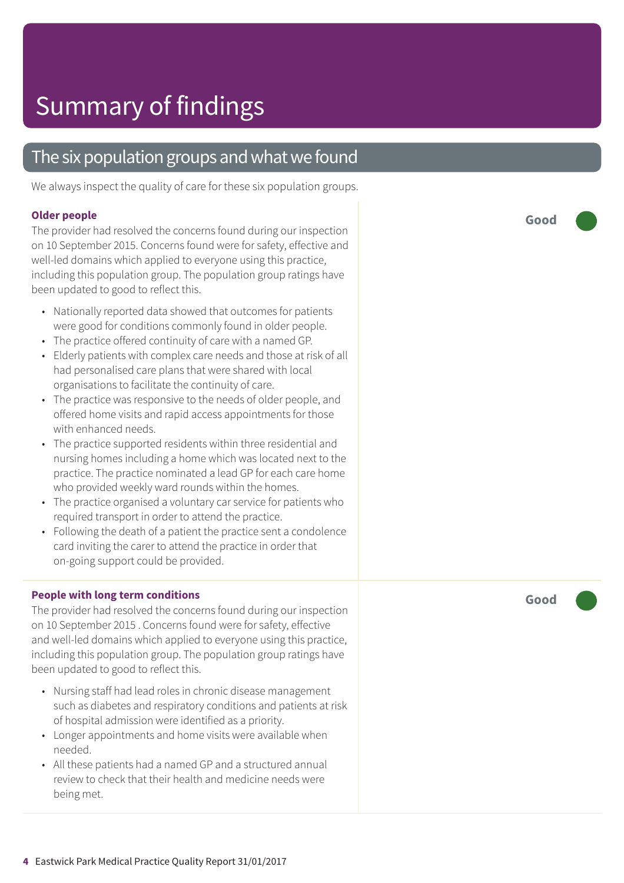### The six population groups and what we found

We always inspect the quality of care for these six population groups.

#### **Older people**

The provider had resolved the concerns found during our inspection on 10 September 2015. Concerns found were for safety, effective and well-led domains which applied to everyone using this practice, including this population group. The population group ratings have been updated to good to reflect this.

- Nationally reported data showed that outcomes for patients were good for conditions commonly found in older people.
- The practice offered continuity of care with a named GP.
- Elderly patients with complex care needs and those at risk of all had personalised care plans that were shared with local organisations to facilitate the continuity of care.
- The practice was responsive to the needs of older people, and offered home visits and rapid access appointments for those with enhanced needs.
- The practice supported residents within three residential and nursing homes including a home which was located next to the practice. The practice nominated a lead GP for each care home who provided weekly ward rounds within the homes.
- The practice organised a voluntary car service for patients who required transport in order to attend the practice.
- Following the death of a patient the practice sent a condolence card inviting the carer to attend the practice in order that on-going support could be provided.

#### **People with long term conditions**

The provider had resolved the concerns found during our inspection on 10 September 2015 . Concerns found were for safety, effective and well-led domains which applied to everyone using this practice, including this population group. The population group ratings have been updated to good to reflect this.

- Nursing staff had lead roles in chronic disease management such as diabetes and respiratory conditions and patients at risk of hospital admission were identified as a priority.
- Longer appointments and home visits were available when needed.
- All these patients had a named GP and a structured annual review to check that their health and medicine needs were being met.

**Good –––**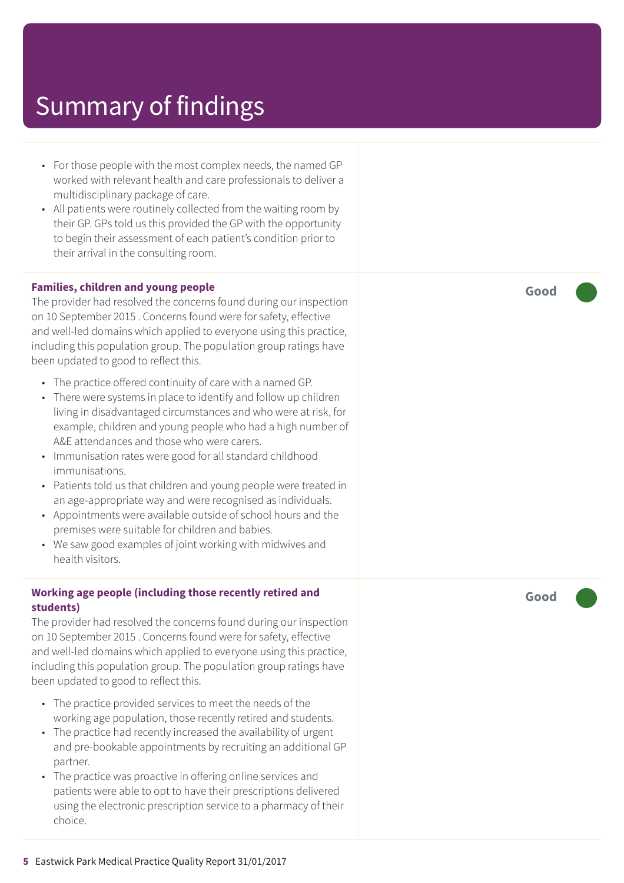- For those people with the most complex needs, the named GP worked with relevant health and care professionals to deliver a multidisciplinary package of care.
- All patients were routinely collected from the waiting room by their GP. GPs told us this provided the GP with the opportunity to begin their assessment of each patient's condition prior to their arrival in the consulting room.

#### **Families, children and young people**

The provider had resolved the concerns found during our inspection on 10 September 2015 . Concerns found were for safety, effective and well-led domains which applied to everyone using this practice, including this population group. The population group ratings have been updated to good to reflect this.

- The practice offered continuity of care with a named GP.
- There were systems in place to identify and follow up children living in disadvantaged circumstances and who were at risk, for example, children and young people who had a high number of A&E attendances and those who were carers.
- Immunisation rates were good for all standard childhood immunisations.
- Patients told us that children and young people were treated in an age-appropriate way and were recognised as individuals.
- Appointments were available outside of school hours and the premises were suitable for children and babies.
- We saw good examples of joint working with midwives and health visitors.

#### **Working age people (including those recently retired and students)**

The provider had resolved the concerns found during our inspection on 10 September 2015 . Concerns found were for safety, effective and well-led domains which applied to everyone using this practice, including this population group. The population group ratings have been updated to good to reflect this.

- The practice provided services to meet the needs of the working age population, those recently retired and students.
- The practice had recently increased the availability of urgent and pre-bookable appointments by recruiting an additional GP partner.
- The practice was proactive in offering online services and patients were able to opt to have their prescriptions delivered using the electronic prescription service to a pharmacy of their choice.

**Good –––**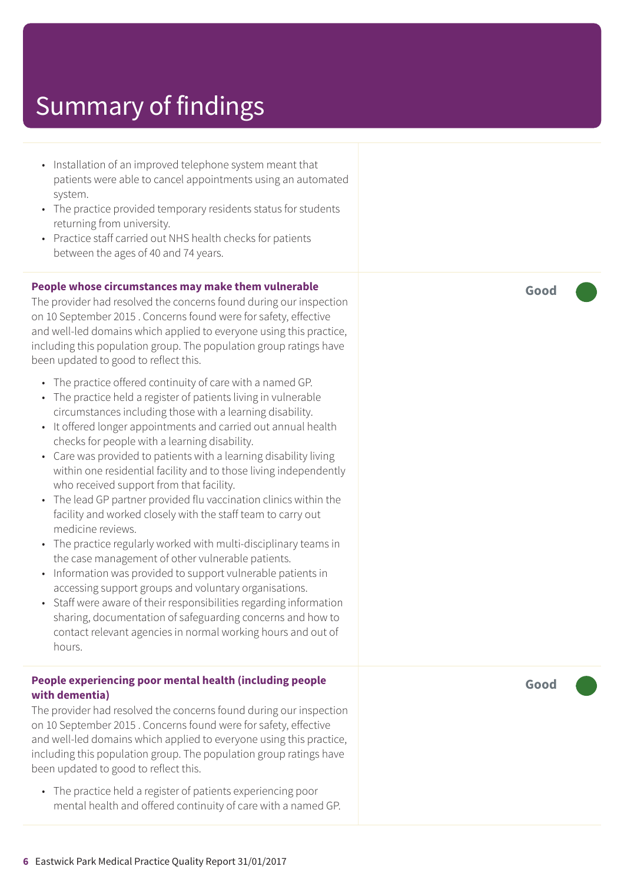- Installation of an improved telephone system meant that patients were able to cancel appointments using an automated system.
- The practice provided temporary residents status for students returning from university.
- Practice staff carried out NHS health checks for patients between the ages of 40 and 74 years.

#### **People whose circumstances may make them vulnerable**

The provider had resolved the concerns found during our inspection on 10 September 2015 . Concerns found were for safety, effective and well-led domains which applied to everyone using this practice, including this population group. The population group ratings have been updated to good to reflect this.

- The practice offered continuity of care with a named GP.
- The practice held a register of patients living in vulnerable circumstances including those with a learning disability.
- It offered longer appointments and carried out annual health checks for people with a learning disability.
- Care was provided to patients with a learning disability living within one residential facility and to those living independently who received support from that facility.
- The lead GP partner provided flu vaccination clinics within the facility and worked closely with the staff team to carry out medicine reviews.
- The practice regularly worked with multi-disciplinary teams in the case management of other vulnerable patients.
- Information was provided to support vulnerable patients in accessing support groups and voluntary organisations.
- Staff were aware of their responsibilities regarding information sharing, documentation of safeguarding concerns and how to contact relevant agencies in normal working hours and out of hours.

#### **People experiencing poor mental health (including people with dementia)**

The provider had resolved the concerns found during our inspection on 10 September 2015 . Concerns found were for safety, effective and well-led domains which applied to everyone using this practice, including this population group. The population group ratings have been updated to good to reflect this.

• The practice held a register of patients experiencing poor mental health and offered continuity of care with a named GP. **Good –––**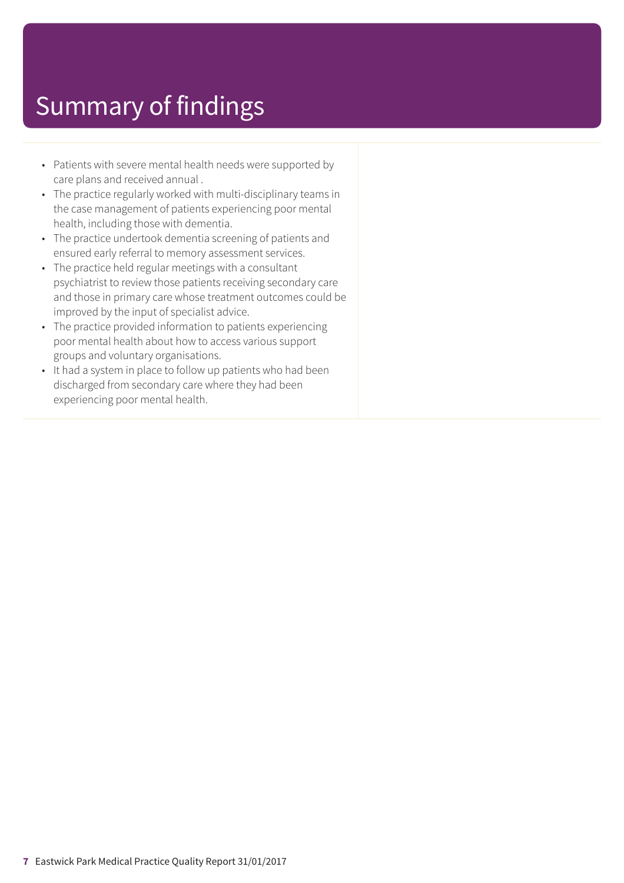- Patients with severe mental health needs were supported by care plans and received annual .
- The practice regularly worked with multi-disciplinary teams in the case management of patients experiencing poor mental health, including those with dementia.
- The practice undertook dementia screening of patients and ensured early referral to memory assessment services.
- The practice held regular meetings with a consultant psychiatrist to review those patients receiving secondary care and those in primary care whose treatment outcomes could be improved by the input of specialist advice.
- The practice provided information to patients experiencing poor mental health about how to access various support groups and voluntary organisations.
- It had a system in place to follow up patients who had been discharged from secondary care where they had been experiencing poor mental health.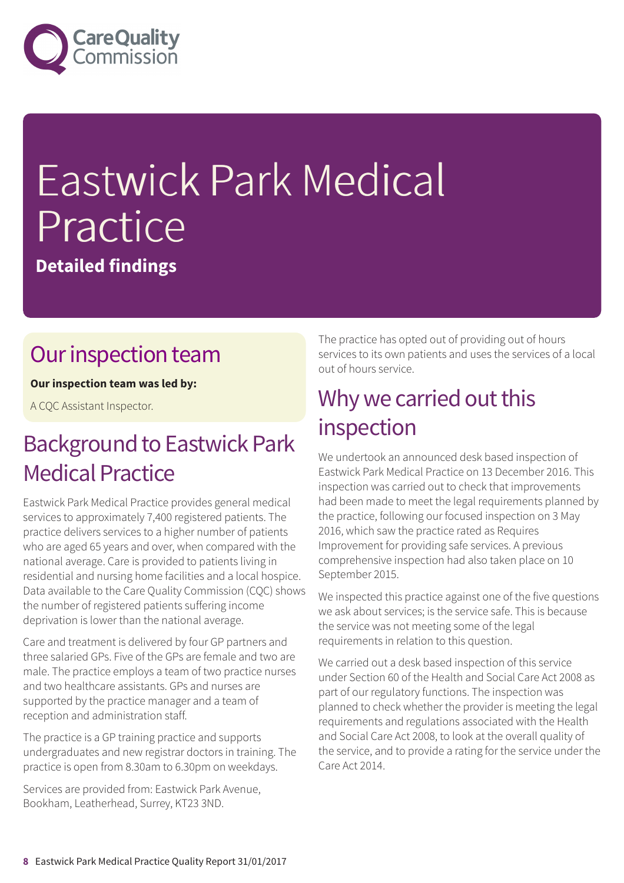

# Eastwick Park Medical Practice

**Detailed findings**

### Our inspection team

#### **Our inspection team was led by:**

A CQC Assistant Inspector.

### **Background to Eastwick Park Medical Practice**

Eastwick Park Medical Practice provides general medical services to approximately 7,400 registered patients. The practice delivers services to a higher number of patients who are aged 65 years and over, when compared with the national average. Care is provided to patients living in residential and nursing home facilities and a local hospice. Data available to the Care Quality Commission (CQC) shows the number of registered patients suffering income deprivation is lower than the national average.

Care and treatment is delivered by four GP partners and three salaried GPs. Five of the GPs are female and two are male. The practice employs a team of two practice nurses and two healthcare assistants. GPs and nurses are supported by the practice manager and a team of reception and administration staff.

The practice is a GP training practice and supports undergraduates and new registrar doctors in training. The practice is open from 8.30am to 6.30pm on weekdays.

Services are provided from: Eastwick Park Avenue, Bookham, Leatherhead, Surrey, KT23 3ND.

The practice has opted out of providing out of hours services to its own patients and uses the services of a local out of hours service.

### Why we carried out this inspection

We undertook an announced desk based inspection of Eastwick Park Medical Practice on 13 December 2016. This inspection was carried out to check that improvements had been made to meet the legal requirements planned by the practice, following our focused inspection on 3 May 2016, which saw the practice rated as Requires Improvement for providing safe services. A previous comprehensive inspection had also taken place on 10 September 2015.

We inspected this practice against one of the five questions we ask about services; is the service safe. This is because the service was not meeting some of the legal requirements in relation to this question.

We carried out a desk based inspection of this service under Section 60 of the Health and Social Care Act 2008 as part of our regulatory functions. The inspection was planned to check whether the provider is meeting the legal requirements and regulations associated with the Health and Social Care Act 2008, to look at the overall quality of the service, and to provide a rating for the service under the Care Act 2014.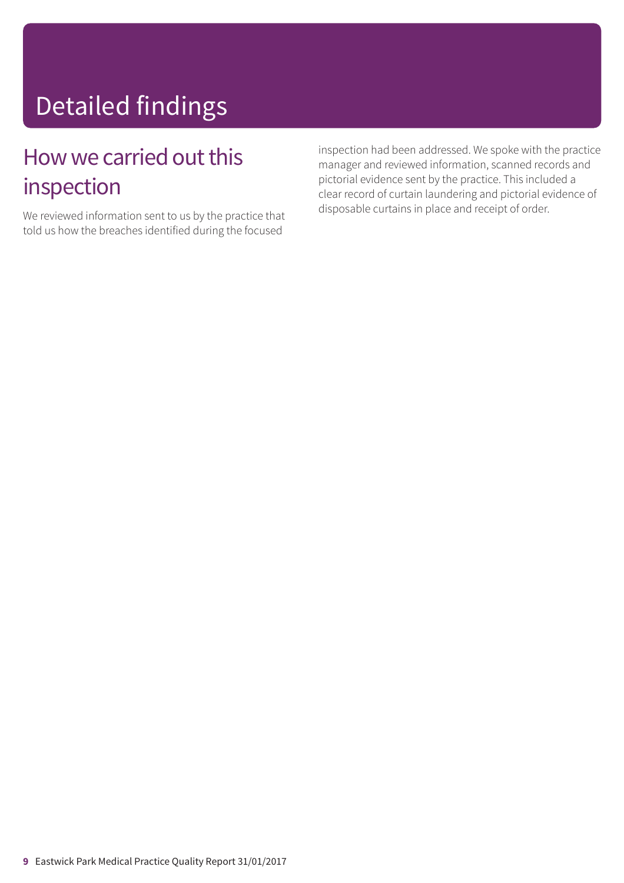# Detailed findings

### How we carried out this inspection

We reviewed information sent to us by the practice that told us how the breaches identified during the focused

inspection had been addressed. We spoke with the practice manager and reviewed information, scanned records and pictorial evidence sent by the practice. This included a clear record of curtain laundering and pictorial evidence of disposable curtains in place and receipt of order.